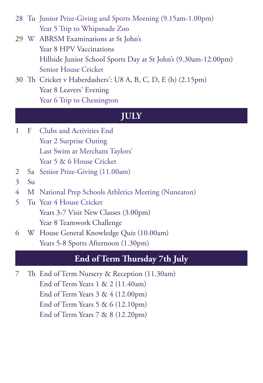28 Tu Junior Prize-Giving and Sports Morning (9.15am-1.00pm) Year 5 Trip to Whipsnade Zoo

- 29 W ABRSM Examinations at St John's Year 8 HPV Vaccinations Hillside Junior School Sports Day at St John's (9.30am-12.00pm) Senior House Cricket
- 30 Th Cricket v Haberdashers': U8 A, B, C, D, E (h) (2.15pm) Year 8 Leavers' Evening Year 6 Trip to Chessington

#### **JULY**

- 1 F Clubs and Activities End Year 2 Surprise Outing Last Swim at Merchant Taylors' Year 5 & 6 House Cricket
- 2 Sa Senior Prize-Giving (11.00am)
- 3 Su
- 4 M National Prep Schools Athletics Meeting (Nuneaton)
- 5 Tu Year 4 House Cricket Years 3-7 Visit New Classes (3.00pm) Year 8 Teamwork Challenge
- 6 W House General Knowledge Quiz (10.00am) Years 5-8 Sports Afternoon (1.30pm)

#### **End of Term Thursday 7th July**

7 Th End of Term Nursery & Reception (11.30am) End of Term Years 1 & 2 (11.40am) End of Term Years 3 & 4 (12.00pm) End of Term Years 5 & 6 (12.10pm) End of Term Years 7 & 8 (12.20pm)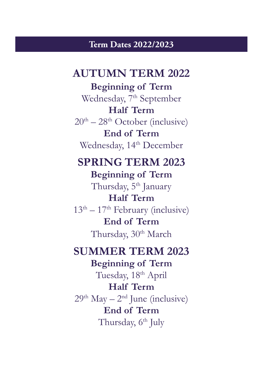#### **Term Dates 2022/2023**

### **AUTUMN TERM 2022**

**Beginning of Term** Wednesday, 7<sup>th</sup> September **Half Term**  $20<sup>th</sup> - 28<sup>th</sup>$  October (inclusive) **End of Term** Wednesday, 14<sup>th</sup> December

### **SPRING TERM 2023 Beginning of Term**

Thursday, 5<sup>th</sup> January **Half Term**  $13<sup>th</sup> - 17<sup>th</sup>$  February (inclusive) **End of Term** Thursday, 30<sup>th</sup> March

### **SUMMER TERM 2023**

**Beginning of Term** Tuesday, 18<sup>th</sup> April **Half Term**  $29<sup>th</sup>$  May –  $2<sup>nd</sup>$  June (inclusive) **End of Term** Thursday, 6<sup>th</sup> July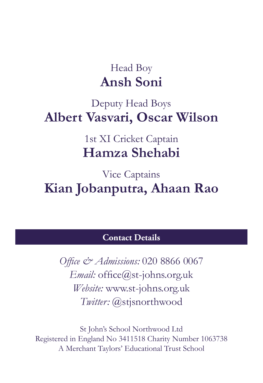### Head Boy **Ansh Soni**

### Deputy Head Boys **Albert Vasvari, Oscar Wilson**

1st XI Cricket Captain **Hamza Shehabi**

Vice Captains **Kian Jobanputra, Ahaan Rao**

### **Contact Details**

*Office & Admissions:* 020 8866 0067 *Email:* office@st-johns.org.uk *Website:* www.st-johns.org.uk *Twitter:* @stjsnorthwood

St John's School Northwood Ltd Registered in England No 3411518 Charity Number 1063738 A Merchant Taylors' Educational Trust School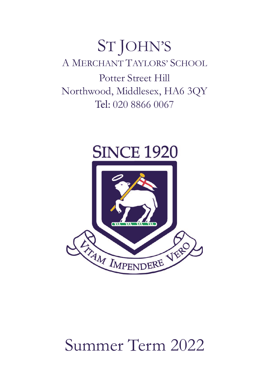## ST JOHN'S A MERCHANT TAYLORS' SCHOOL Potter Street Hill Northwood, Middlesex, HA6 3QY Tel: 020 8866 0067



# Summer Term 2022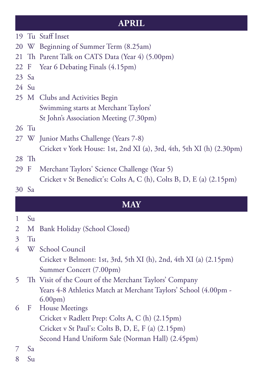### **APRIL**

- 19 Tu Staff Inset
- 20 W Beginning of Summer Term (8.25am)
- 21 Th Parent Talk on CATS Data (Year 4) (5.00pm)
- 22 F Year 6 Debating Finals (4.15pm)
- 23 Sa
- 24 Su
- 25 M Clubs and Activities Begin Swimming starts at Merchant Taylors' St John's Association Meeting (7.30pm)
- 26 Tu
- 27 W Junior Maths Challenge (Years 7-8) Cricket v York House: 1st, 2nd XI (a), 3rd, 4th, 5th XI (h) (2.30pm)
- 28 Th
- 29 F Merchant Taylors' Science Challenge (Year 5) Cricket v St Benedict's: Colts A, C (h), Colts B, D, E (a) (2.15pm)
- 30 Sa

### **MAY**

- $1 S<sub>U</sub>$
- 2 M Bank Holiday (School Closed)
- 3 Tu
- 4 W School Council Cricket v Belmont: 1st, 3rd, 5th XI (h), 2nd, 4th XI (a) (2.15pm) Summer Concert (7.00pm)
- 5 Th Visit of the Court of the Merchant Taylors' Company Years 4-8 Athletics Match at Merchant Taylors' School (4.00pm - 6.00pm)
- 6 F House Meetings
	- Cricket v Radlett Prep: Colts A, C (h) (2.15pm) Cricket v St Paul's: Colts B, D, E, F (a) (2.15pm) Second Hand Uniform Sale (Norman Hall) (2.45pm)
- 7 Sa
- $8 S<sub>u</sub>$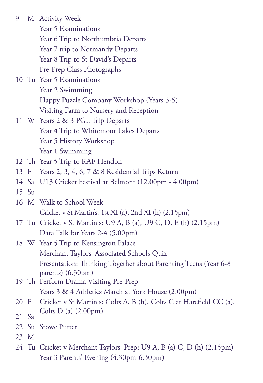| 9       |         | M Activity Week                                                                             |
|---------|---------|---------------------------------------------------------------------------------------------|
|         |         | Year 5 Examinations                                                                         |
|         |         | Year 6 Trip to Northumbria Departs                                                          |
|         |         | Year 7 trip to Normandy Departs                                                             |
|         |         | Year 8 Trip to St David's Departs                                                           |
|         |         | Pre-Prep Class Photographs                                                                  |
|         |         | 10 Tu Year 5 Examinations                                                                   |
|         |         | Year 2 Swimming                                                                             |
|         |         | Happy Puzzle Company Workshop (Years 3-5)                                                   |
|         |         | Visiting Farm to Nursery and Reception                                                      |
|         |         | 11 W Years 2 & 3 PGL Trip Departs                                                           |
|         |         | Year 4 Trip to Whitemoor Lakes Departs                                                      |
|         |         | Year 5 History Workshop                                                                     |
|         |         | Year 1 Swimming                                                                             |
|         |         | 12 Th Year 5 Trip to RAF Hendon                                                             |
| 13 F    |         | Years 2, 3, 4, 6, 7 & 8 Residential Trips Return                                            |
|         |         | 14 Sa U13 Cricket Festival at Belmont (12.00pm - 4.00pm)                                    |
|         | $15$ Su |                                                                                             |
|         |         | 16 M Walk to School Week                                                                    |
|         |         | Cricket v St Martin's: 1st XI (a), 2nd XI (h) (2.15pm)                                      |
|         |         | 17 Tu Cricket v St Martin's: U9 A, B (a), U9 C, D, E (h) (2.15pm)                           |
|         |         | Data Talk for Years 2-4 (5.00pm)                                                            |
|         |         | 18 W Year 5 Trip to Kensington Palace                                                       |
|         |         | Merchant Taylors' Associated Schools Quiz                                                   |
|         |         | Presentation: Thinking Together about Parenting Teens (Year 6-8)                            |
|         |         | parents) $(6.30 \text{pm})$                                                                 |
|         |         | 19 Th Perform Drama Visiting Pre-Prep<br>Years 3 & 4 Athletics Match at York House (2.00pm) |
| 20 F    |         | Cricket v St Martin's: Colts A, B (h), Colts C at Harefield CC (a),                         |
|         |         | Colts D (a) (2.00pm)                                                                        |
| $21$ Sa |         |                                                                                             |
|         |         | 22 Su Stowe Putter                                                                          |
| 23 M    |         |                                                                                             |
|         |         | 24 Tu Cricket v Merchant Taylors' Prep: U9 A, B (a) C, D (h) (2.15pm)                       |
|         |         | Year 3 Parents' Evening (4.30pm-6.30pm)                                                     |
|         |         |                                                                                             |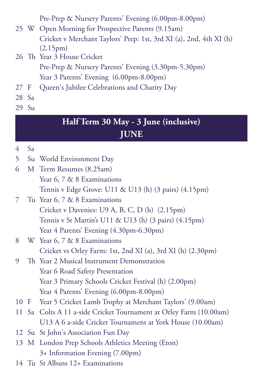Pre-Prep & Nursery Parents' Evening (6.00pm-8.00pm)

- 25 W Open Morning for Prospective Parents (9.15am) Cricket v Merchant Taylors' Prep: 1st, 3rd XI (a), 2nd, 4th XI (h) (2.15pm)
- 26 Th Year 3 House Cricket Pre-Prep & Nursery Parents' Evening (3.30pm-5.30pm) Year 3 Parents' Evening (6.00pm-8.00pm)
- 27 F Queen's Jubilee Celebrations and Charity Day
- 28 Sa
- 29 Su

### **Half Term 30 May - 3 June (inclusive) JUNE**

- 4 Sa
- 5 Su World Environment Day
- 6 M Term Resumes (8.25am) Year 6, 7 & 8 Examinations Tennis v Edge Grove: U11 & U13 (h) (3 pairs) (4.15pm)
- 7 Tu Year 6, 7 & 8 Examinations Cricket v Davenies: U9 A, B, C, D (h) (2.15pm) Tennis v St Martin's U11 & U13 (h) (3 pairs) (4.15pm) Year 4 Parents' Evening (4.30pm-6.30pm)
- 8 W Year 6, 7 & 8 Examinations Cricket vs Orley Farm: 1st, 2nd XI (a), 3rd XI (h) (2.30pm)
- 9 Th Year 2 Musical Instrument Demonstration Year 6 Road Safety Presentation Year 3 Primary Schools Cricket Festival (h) (2.00pm) Year 4 Parents' Evening (6.00pm-8.00pm)
- 10 F Year 5 Cricket Lamb Trophy at Merchant Taylors' (9.00am)
- 11 Sa Colts A 11 a-side Cricket Tournament at Orley Farm (10.00am) U13 A 6 a-side Cricket Tournament at York House (10.00am)
- 12 Su St John's Association Fun Day
- 13 M London Prep Schools Athletics Meeting (Eton) 3+ Information Evening (7.00pm)
- 14 Tu St Albans 12+ Examinations